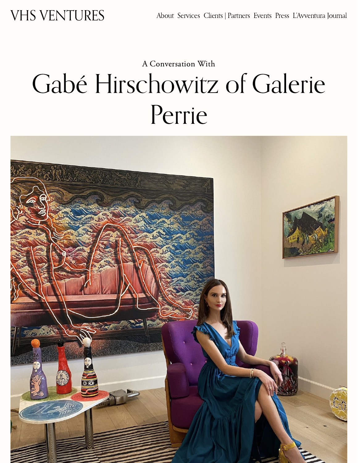# A [Conversation](https://www.veronicahelenspeck.com/lavventura-intro/category/A+Conversation+With) With Gabé Hirschowitz of Galerie Perrie

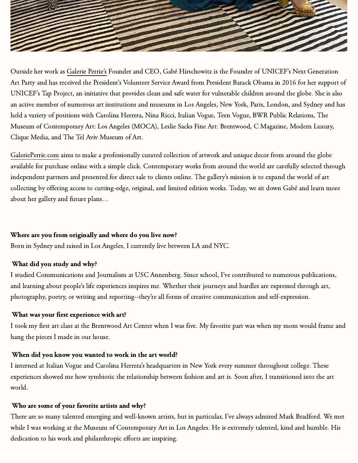

Outside her work as [Galerie](https://galerieperrie.com/) Perrie's Founder and CEO, Gabé Hirschowitz is the Founder of UNICEF's Next Generation Art Party and has received the President's Volunteer Service Award from President Barack Obama in 2016 for her support of UNICEF's Tap Project, an initiative that provides clean and safe water for vulnerable children around the globe. She is also an active member of numerous art institutions and museums in Los Angeles, New York, Paris, London, and Sydney and has held a variety of positions with Carolina Herrera, Nina Ricci, Italian Vogue, Teen Vogue, BWR Public Relations, The Museum of Contemporary Art: Los Angeles (MOCA), Leslie Sacks Fine Art: Brentwood, C Magazine, Modern Luxury, Clique Media, and The Tel Aviv Museum of Art.

[GaleriePerrie.com](https://galerieperrie.com/) aims to make a professionally curated collection of artwork and unique decor from around the globe available for purchase online with a simple click. Contemporary works from around the world are carefully selected through independent partners and presented for direct sale to clients online. The gallery's mission is to expand the world of art collecting by offering access to cutting-edge, original, and limited edition works. Today, we sit down Gabé and learn more about her gallery and future plans…

### Where are you from originally and where do you live now?

Born in Sydney and raised in Los Angeles, I currently live between LA and NYC.

# What did you study and why?

I studied Communications and Journalism at USC Annenberg. Since school, I've contributed to numerous publications, and learning about people's life experiences inspires me. Whether their journeys and hurdles are expressed through art, photography, poetry, or writing and reporting--they're all forms of creative communication and self-expression.

#### What was your first experience with art?

I took my first art class at the Brentwood Art Center when I was five. My favorite part was when my mom would frame and hang the pieces I made in our house.

#### When did you know you wanted to work in the art world?

I interned at Italian Vogue and Carolina Herrera's headquarters in New York every summer throughout college. These experiences showed me how symbiotic the relationship between fashion and art is. Soon after, I transitioned into the art world.

# Who are some of your favorite artists and why?

There are so many talented emerging and well-known artists, but in particular, I've always admired Mark Bradford. We met while I was working at the Museum of Contemporary Art in Los Angeles. He is extremely talented, kind and humble. His dedication to his work and philanthropic efforts are inspiring.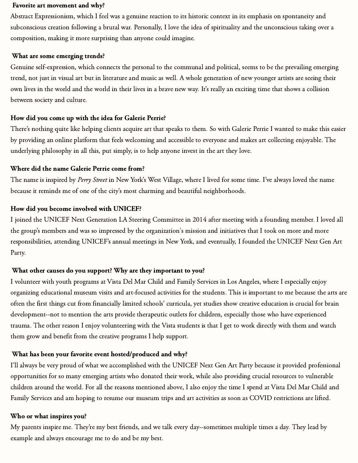#### Favorite art movement and why?

Abstract Expressionism, which I feel was a genuine reaction to its historic context in its emphasis on spontaneity and subconscious creation following a brutal war. Personally, I love the idea of spirituality and the unconscious taking over a composition, making it more surprising than anyone could imagine.

#### What are some emerging trends?

Genuine self-expression, which connects the personal to the communal and political, seems to be the prevailing emerging trend, not just in visual art but in literature and music as well. A whole generation of new younger artists are seeing their own lives in the world and the world in their lives in a brave new way. It's really an exciting time that shows a collision between society and culture.

#### How did you come up with the idea for Galerie Perrie?

There's nothing quite like helping clients acquire art that speaks to them. So with Galerie Perrie I wanted to make this easier by providing an online platform that feels welcoming and accessible to everyone and makes art collecting enjoyable. The underlying philosophy in all this, put simply, is to help anyone invest in the art they love.

#### Where did the name Galerie Perrie come from?

The name is inspired by Perry Street in New York's West Village, where I lived for some time. I've always loved the name because it reminds me of one of the city's most charming and beautiful neighborhoods.

#### How did you become involved with UNICEF?

I joined the UNICEF Next Generation LA Steering Committee in 2014 after meeting with a founding member. I loved all the group's members and was so impressed by the organization's mission and initiatives that I took on more and more responsibilities, attending UNICEF's annual meetings in New York, and eventually, I founded the UNICEF Next Gen Art Party.

#### What other causes do you support? Why are they important to you?

I volunteer with youth programs at Vista Del Mar Child and Family Services in Los Angeles, where I especially enjoy organizing educational museum visits and art-focused activities for the students. This is important to me because the arts are often the first things cut from financially limited schools' curricula, yet studies show creative education is crucial for brain development--not to mention the arts provide therapeutic outlets for children, especially those who have experienced trauma. The other reason I enjoy volunteering with the Vista students is that I get to work directly with them and watch them grow and benefit from the creative programs I help support.

#### What has been your favorite event hosted/produced and why?

I'll always be very proud of what we accomplished with the UNICEF Next Gen Art Party because it provided professional opportunities for so many emerging artists who donated their work, while also providing crucial resources to vulnerable children around the world. For all the reasons mentioned above, I also enjoy the time I spend at Vista Del Mar Child and Family Services and am hoping to resume our museum trips and art activities as soon as COVID restrictions are lifted.

#### Who or what inspires you?

My parents inspire me. They're my best friends, and we talk every day--sometimes multiple times a day. They lead by example and always encourage me to do and be my best.